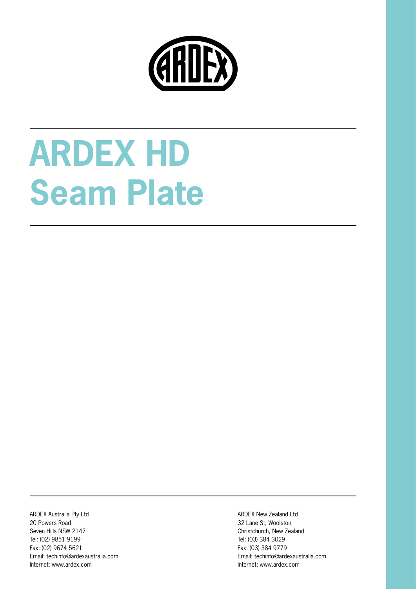

# **ARDEX HD Seam Plate**

ARDEX Australia Pty Ltd 20 Powers Road Seven Hills NSW 2147 Tel: (02) 9851 9199 Fax: (02) 9674 5621 Email: techinfo@ardexaustralia.com Internet: www.ardex.com

ARDEX New Zealand Ltd 32 Lane St, Woolston Christchurch, New Zealand Tel: (03) 384 3029 Fax: (03) 384 9779 Email: techinfo@ardexaustralia.com Internet: www.ardex.com